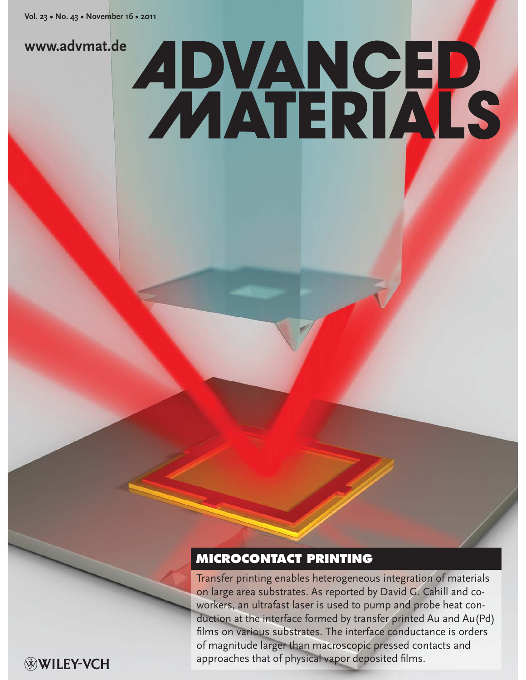## **www.advmat.de**

# **ADVANGED**

# **MICROCONTACT PRINTING**

Transfer printing enables heterogeneous integration of materials on large area substrates. As reported by David G. Cahill and coworkers, an ultrafast laser is used to pump and probe heat conduction at the interface formed by transfer printed Au and Au(Pd) films on various substrates. The interface conductance is orders of magnitude larger than macroscopic pressed contacts and approaches that of physical vapor deposited films.

WILEY-VCH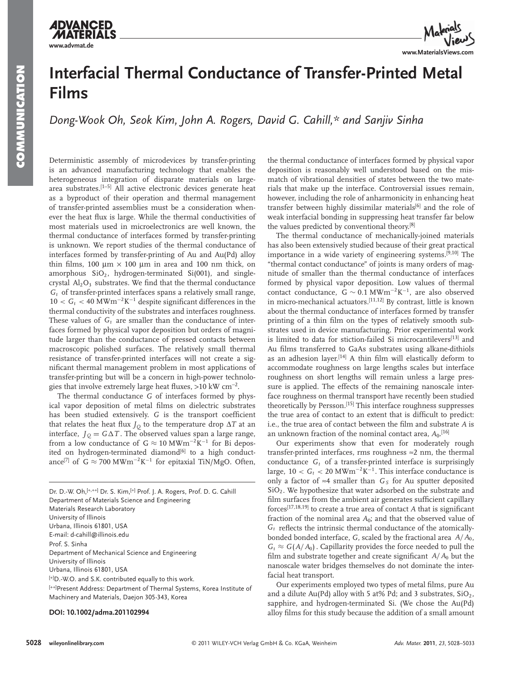



# **Interfacial Thermal Conductance of Transfer-Printed Metal Films**

*Dong-Wook Oh, Seok Kim, John A. Rogers, David G. Cahill,\* and Sanjiv Sinha* 

 Deterministic assembly of microdevices by transfer-printing is an advanced manufacturing technology that enables the heterogeneous integration of disparate materials on largearea substrates.<sup>[1-5]</sup> All active electronic devices generate heat as a byproduct of their operation and thermal management of transfer-printed assemblies must be a consideration whenever the heat flux is large. While the thermal conductivities of most materials used in microelectronics are well known, the thermal conductance of interfaces formed by transfer-printing is unknown. We report studies of the thermal conductance of interfaces formed by transfer-printing of Au and Au(Pd) alloy thin films, 100  $\mu$ m × 100  $\mu$ m in area and 100 nm thick, on amorphous  $SiO<sub>2</sub>$ , hydrogen-terminated  $Si(001)$ , and singlecrystal  $Al_2O_3$  substrates. We find that the thermal conductance *Gt* of transfer-printed interfaces spans a relatively small range,  $10 < G_t < 40$  MWm<sup>-2</sup>K<sup>-1</sup> despite significant differences in the thermal conductivity of the substrates and interfaces roughness. These values of  $G_t$  are smaller than the conductance of interfaces formed by physical vapor deposition but orders of magnitude larger than the conductance of pressed contacts between macroscopic polished surfaces. The relatively small thermal resistance of transfer-printed interfaces will not create a significant thermal management problem in most applications of transfer-printing but will be a concern in high-power technologies that involve extremely large heat fluxes, > 10 kW  $cm^{-2}$ .

 The thermal conductance *G* of interfaces formed by physical vapor deposition of metal films on dielectric substrates has been studied extensively. *G* is the transport coefficient that relates the heat flux  $J_Q$  to the temperature drop  $\Delta T$  at an interface,  $J_Q = G \Delta T$ . The observed values span a large range, from a low conductance of  $G \approx 10 \text{ MWm}^{-2}\text{K}^{-1}$  for Bi deposited on hydrogen-terminated diamond<sup>[6]</sup> to a high conductance<sup>[7]</sup> of  $G \approx 700 \text{ MWm}^{-2}\text{K}^{-1}$  for epitaxial TiN/MgO. Often,

Dr. D.-W. Oh, [+,++] Dr. S. Kim, [+] Prof. J. A. Rogers, Prof. D. G. Cahill Department of Materials Science and Engineering Materials Research Laboratory University of Illinois Urbana, Illinois 61801, USA E-mail: d-cahill@illinois.edu Prof. S. Sinha Department of Mechanical Science and Engineering University of Illinois Urbana, Illinois 61801, USA [+]D.-W.O. and S.K. contributed equally to this work. [++] Present Address: Department of Thermal Systems, Korea Institute of Machinery and Materials, Daejon 305-343, Korea

### **DOI: 10.1002/adma.201102994**

the thermal conductance of interfaces formed by physical vapor deposition is reasonably well understood based on the mismatch of vibrational densities of states between the two materials that make up the interface. Controversial issues remain, however, including the role of anharmonicity in enhancing heat transfer between highly dissimilar materials<sup>[6]</sup> and the role of weak interfacial bonding in suppressing heat transfer far below the values predicted by conventional theory.<sup>[8]</sup>

 The thermal conductance of mechanically-joined materials has also been extensively studied because of their great practical importance in a wide variety of engineering systems.<sup>[9,10]</sup> The "thermal contact conductance" of joints is many orders of magnitude of smaller than the thermal conductance of interfaces formed by physical vapor deposition. Low values of thermal contact conductance,  $G \sim 0.1 \text{ MWm}^{-2} \text{K}^{-1}$ , are also observed in micro-mechanical actuators.<sup>[11,12]</sup> By contrast, little is known about the thermal conductance of interfaces formed by transfer printing of a thin film on the types of relatively smooth substrates used in device manufacturing. Prior experimental work is limited to data for stiction-failed Si microcantilevers[13] and Au films transferred to GaAs substrates using alkane-dithiols as an adhesion layer.<sup>[14]</sup> A thin film will elastically deform to accommodate roughness on large lengths scales but interface roughness on short lengths will remain unless a large pressure is applied. The effects of the remaining nanoscale interface roughness on thermal transport have recently been studied theoretically by Persson.<sup>[15]</sup> This interface roughness suppresses the true area of contact to an extent that is difficult to predict: i.e., the true area of contact between the film and substrate A is an unknown fraction of the nominal contact area,  $A_{0}$ .<sup>[16]</sup>

 Our experiments show that even for moderately rough transfer-printed interfaces, rms roughness  $\approx$  2 nm, the thermal conductance  $G_t$  of a transfer-printed interface is surprisingly large,  $10 < G_t < 20$  MWm<sup>-2</sup>K<sup>-1</sup>. This interface conductance is only a factor of ≈4 smaller than  $G_S$  for Au sputter deposited SiO<sub>2</sub>. We hypothesize that water adsorbed on the substrate and film surfaces from the ambient air generates sufficient capillary forces<sup>[17,18,19]</sup> to create a true area of contact *A* that is significant fraction of the nominal area  $A_0$ ; and that the observed value of  $G_t$  reflects the intrinsic thermal conductance of the atomicallybonded bonded interface, *G*, scaled by the fractional area *A*/*A*<sub>0</sub>,  $G_t \approx G(A/A_0)$ . Capillarity provides the force needed to pull the film and substrate together and create significant  $A/A<sub>0</sub>$  but the nanoscale water bridges themselves do not dominate the interfacial heat transport.

Our experiments employed two types of metal films, pure Au and a dilute Au(Pd) alloy with 5 at% Pd; and 3 substrates,  $SiO<sub>2</sub>$ , sapphire, and hydrogen-terminated Si. (We chose the Au(Pd) alloy films for this study because the addition of a small amount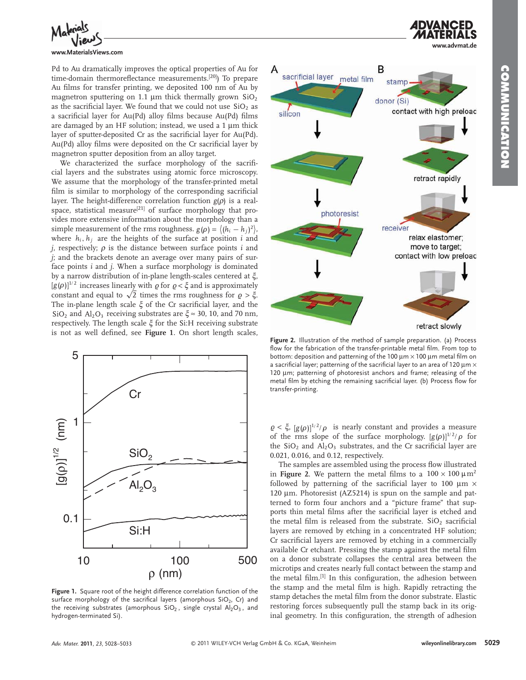**www.advmat.de**



### **www.MaterialsViews.com**

Pd to Au dramatically improves the optical properties of Au for time-domain thermoreflectance measurements.<sup>[20]</sup>) To prepare Au films for transfer printing, we deposited 100 nm of Au by magnetron sputtering on 1.1  $\mu$ m thick thermally grown SiO<sub>2</sub> as the sacrificial layer. We found that we could not use  $SiO<sub>2</sub>$  as a sacrificial layer for Au(Pd) alloy films because Au(Pd) films are damaged by an HF solution; instead, we used a  $1 \mu m$  thick layer of sputter-deposited Cr as the sacrificial layer for Au(Pd). Au(Pd) alloy films were deposited on the Cr sacrificial layer by magnetron sputter deposition from an alloy target.

We characterized the surface morphology of the sacrificial layers and the substrates using atomic force microscopy. We assume that the morphology of the transfer-printed metal film is similar to morphology of the corresponding sacrificial layer. The height-difference correlation function  $g(\rho)$  is a realspace, statistical measure<sup>[21]</sup> of surface morphology that provides more extensive information about the morphology than a simple measurement of the rms roughness.  $g(\rho) = \langle (h_i - h_j)^2 \rangle$ ,<br>where *h*, *h*, are the heights of the surface at position *i* and where  $h_i$ ,  $h_j$  are the heights of the surface at position *i* and *j*, respectively;  $\rho$  is the distance between surface points *i* and *j*; and the brackets denote an average over many pairs of surface points *i* and *j*. When a surface morphology is dominated by a narrow distribution of in-plane length-scales centered at  $\xi$ ,  $[g(\rho)]^{1/2}$  increases linearly with  $\varrho$  for  $\varrho < \xi$  and is approximately constant and equal to  $\sqrt{2}$  times the rms reughness for  $\varrho > \xi$ constant and equal to  $\sqrt{2}$  times the rms roughness for  $\rho > \xi$ . The in-plane length scale  $\xi$  of the Cr sacrificial layer, and the SiO<sub>2</sub> and Al<sub>2</sub>O<sub>3</sub> receiving substrates are  $\xi \approx 30$ , 10, and 70 nm, respectively. The length scale ξ for the Si:H receiving substrate is not as well defined, see **Figure** 1. On short length scales,



Figure 1. Square root of the height difference correlation function of the surface morphology of the sacrifical layers (amorphous  $SiO<sub>2</sub>$ , Cr) and the receiving substrates (amorphous  $SiO<sub>2</sub>$ , single crystal  $Al<sub>2</sub>O<sub>3</sub>$ , and hydrogen-terminated Si).



Figure 2. Illustration of the method of sample preparation. (a) Process flow for the fabrication of the transfer-printable metal film. From top to bottom: deposition and patterning of the 100  $\mu$ m  $\times$  100  $\mu$ m metal film on a sacrificial layer; patterning of the sacrificial layer to an area of 120  $\mu$ m  $\times$ 120 μm; patterning of photoresist anchors and frame; releasing of the metal film by etching the remaining sacrificial layer. (b) Process flow for transfer-printing.

 $\varrho < \xi$ ,  $[g(\rho)]^{1/2}/\rho$  is nearly constant and provides a measure of the rms slope of the surface morphology.  $[g(\rho)]^{1/2}/\rho$  for the  $SiO<sub>2</sub>$  and  $Al<sub>2</sub>O<sub>3</sub>$  substrates, and the Cr sacrificial layer are 0.021, 0.016, and 0.12, respectively.

The samples are assembled using the process flow illustrated in **Figure** 2. We pattern the metal films to a  $100 \times 100 \mu m^2$ followed by patterning of the sacrificial layer to 100  $\mu$ m  $\times$ 120 μm. Photoresist (AZ5214) is spun on the sample and patterned to form four anchors and a "picture frame" that supports thin metal films after the sacrificial layer is etched and the metal film is released from the substrate.  $SiO<sub>2</sub>$  sacrificial layers are removed by etching in a concentrated HF solution; Cr sacrificial layers are removed by etching in a commercially available Cr etchant. Pressing the stamp against the metal film on a donor substrate collapses the central area between the microtips and creates nearly full contact between the stamp and the metal film.<sup>[1]</sup> In this configuration, the adhesion between the stamp and the metal film is high. Rapidly retracting the stamp detaches the metal film from the donor substrate. Elastic restoring forces subsequently pull the stamp back in its original geometry. In this configuration, the strength of adhesion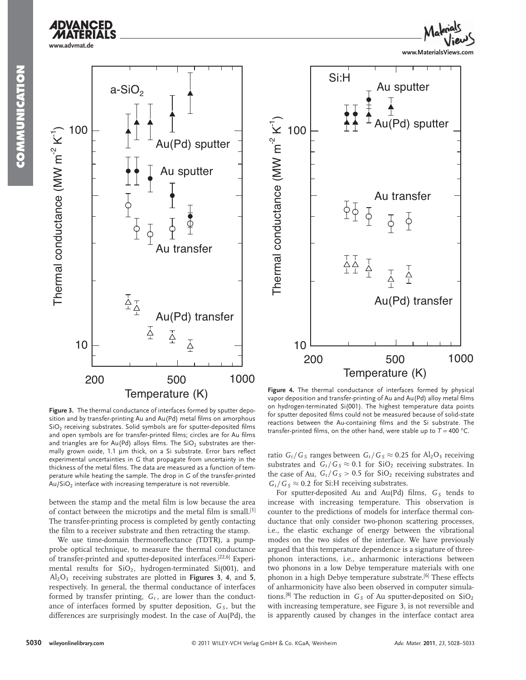



**Figure 4.** The thermal conductance of interfaces formed by physical vapor deposition and transfer-printing of Au and Au(Pd) alloy metal films on hydrogen-terminated Si(001). The highest temperature data points for sputter deposited films could not be measured because of solid-state reactions between the Au-containing films and the Si substrate. The transfer-printed films, on the other hand, were stable up to  $T = 400$  °C.

200 500

 $\frac{1}{2}$ 

T A<br>A A<br>1 1  $\overline{A}$ 

 $\overline{\varphi}$ 

10

 $\widehat{K}$  100

Si:H

Thermal conductance (MW m<sup>-2</sup>

Temperature (K)

Figure 3. The thermal conductance of interfaces formed by sputter deposition and by transfer-printing Au and Au (Pd) metal films on amorphous  $SiO<sub>2</sub>$  receiving substrates. Solid symbols are for sputter-deposited films and open symbols are for transfer-printed films; circles are for Au films and triangles are for Au(Pd) alloys films. The  $SiO<sub>2</sub>$  substrates are thermally grown oxide, 1.1 μm thick, on a Si substrate. Error bars reflect experimental uncertainties in *G* that propagate from uncertainty in the thickness of the metal films. The data are measured as a function of temperature while heating the sample. The drop in *G* of the transfer-printed  $Au/SiO<sub>2</sub>$  interface with increasing temperature is not reversible.

between the stamp and the metal film is low because the area of contact between the microtips and the metal film is small.<sup>[1]</sup> The transfer-printing process is completed by gently contacting the film to a receiver substrate and then retracting the stamp.

We use time-domain thermoreflectance (TDTR), a pumpprobe optical technique, to measure the thermal conductance of transfer-printed and sputter-deposited interfaces.<sup>[22,6]</sup> Experimental results for  $SiO<sub>2</sub>$ , hydrogen-terminated  $Si(001)$ , and Al2O3 receiving substrates are plotted in **Figures 3** , **4** , and **5** , respectively. In general, the thermal conductance of interfaces formed by transfer printing,  $G_t$ , are lower than the conductance of interfaces formed by sputter deposition, *G<sub>S</sub>*, but the differences are surprisingly modest. In the case of Au(Pd), the

ratio  $G_t/G_s$  ranges between  $G_t/G_s \approx 0.25$  for Al<sub>2</sub>O<sub>3</sub> receiving substrates and  $G_t/G_s \approx 0.1$  for SiO<sub>2</sub> receiving substrates. In the case of Au,  $G_t/G_s > 0.5$  for  $SiO_2$  receiving substrates and  $G_t/G_s \approx 0.2$  for Si:H receiving substrates.

For sputter-deposited Au and Au(Pd) films, G<sub>S</sub> tends to increase with increasing temperature. This observation is counter to the predictions of models for interface thermal conductance that only consider two-phonon scattering processes, i.e., the elastic exchange of energy between the vibrational modes on the two sides of the interface. We have previously argued that this temperature dependence is a signature of threephonon interactions, i.e., anharmonic interactions between two phonons in a low Debye temperature materials with one phonon in a high Debye temperature substrate.<sup>[6]</sup> These effects of anharmonicity have also been observed in computer simulations.<sup>[8]</sup> The reduction in  $G_S$  of Au sputter-deposited on  $SiO_2$ <br>with increasing temperature, see Figure 3, is not reversible and with increasing temperature, see Figure 3, is not reversible and is apparently caused by changes in the interface contact area

1000

**www.MaterialsViews.com**

u(Pd) sputter

Au sputter

Au transfer

 $\overline{\varphi}$ 

T<br>4

 $\overline{S}$ 

Au(Pd) transfer

T<br>4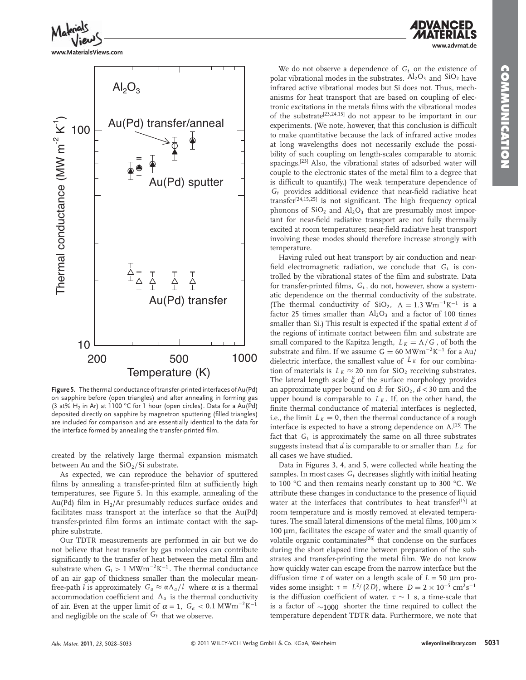

**www.MaterialsViews.com**



 **Figure 5 .** The thermal conductance of transfer-printed interfaces of Au(Pd) on sapphire before (open triangles) and after annealing in forming gas (3 at%  $H_2$  in Ar) at 1100 °C for 1 hour (open circles). Data for a Au(Pd) deposited directly on sapphire by magnetron sputtering (filled triangles) are included for comparison and are essentially identical to the data for the interface formed by annealing the transfer-printed film.

created by the relatively large thermal expansion mismatch between Au and the  $SiO<sub>2</sub>/Si$  substrate.

 As expected, we can reproduce the behavior of sputtered films by annealing a transfer-printed film at sufficiently high temperatures, see Figure 5. In this example, annealing of the Au(Pd) film in  $H_2/Ar$  presumably reduces surface oxides and facilitates mass transport at the interface so that the Au(Pd) transfer-printed film forms an intimate contact with the sapphire substrate.

 Our TDTR measurements are performed in air but we do not believe that heat transfer by gas molecules can contribute significantly to the transfer of heat between the metal film and substrate when  $G_t > 1 \text{ MWm}^{-2} \text{K}^{-1}$ . The thermal conductance of an air gap of thickness smaller than the molecular meanfree-path  $\check{l}$  is approximately  $G_a \approx \alpha \Lambda_a / \check{l}$  where  $\alpha$  is a thermal accommodation coefficient and  $\Lambda_a$  is the thermal conductivity of air. Even at the upper limit of  $\alpha = 1$ ,  $G_a < 0.1$  MWm<sup>-2</sup>K<sup>-1</sup> and negligible on the scale of  $G_t$  that we observe.

We do not observe a dependence of  $G_t$  on the existence of polar vibrational modes in the substrates.  $Al_2O_3$  and  $SiO_2$  have infrared active vibrational modes but Si does not. Thus, mechanisms for heat transport that are based on coupling of electronic excitations in the metals films with the vibrational modes of the substrate<sup>[23,24,15]</sup> do not appear to be important in our experiments. (We note, however, that this conclusion is difficult to make quantitative because the lack of infrared active modes at long wavelengths does not necessarily exclude the possibility of such coupling on length-scales comparable to atomic spacings.<sup>[23]</sup> Also, the vibrational states of adsorbed water will couple to the electronic states of the metal film to a degree that is difficult to quantify.) The weak temperature dependence of  $G_t$  provides additional evidence that near-field radiative heat transfer<sup>[24,15,25]</sup> is not significant. The high frequency optical phonons of  $SiO<sub>2</sub>$  and  $Al<sub>2</sub>O<sub>3</sub>$  that are presumably most important for near-field radiative transport are not fully thermally excited at room temperatures; near-field radiative heat transport involving these modes should therefore increase strongly with temperature.

 Having ruled out heat transport by air conduction and nearfield electromagnetic radiation, we conclude that  $G_t$  is controlled by the vibrational states of the film and substrate. Data for transfer-printed films,  $G_t$ , do not, however, show a systematic dependence on the thermal conductivity of the substrate. (The thermal conductivity of SiO<sub>2</sub>,  $\Lambda = 1.3$  Wm<sup>-1</sup>K<sup>-1</sup> is a factor 25 times smaller than  $Al_2O_3$  and a factor of 100 times smaller than Si.) This result is expected if the spatial extent *d* of the regions of intimate contact between film and substrate are small compared to the Kapitza length,  $L_K = \Lambda/G$ , of both the substrate and film. If we assume  $G = 60$  MWm<sup>-2</sup>K<sup>-1</sup> for a Au/ dielectric interface, the smallest value of  $L_K$  for our combination of materials is  $L_K \approx 20$  nm for SiO<sub>2</sub> receiving substrates. The lateral length scale  $\xi$  of the surface morphology provides an approximate upper bound on *d*: for  $SiO_2$ ,  $d < 30$  nm and the upper bound is comparable to  $L_K$ . If, on the other hand, the finite thermal conductance of material interfaces is neglected, i.e., the limit  $L_K = 0$ , then the thermal conductance of a rough interface is expected to have a strong dependence on  $\Lambda$ .<sup>[15]</sup> The fact that  $G_t$  is approximately the same on all three substrates suggests instead that *d* is comparable to or smaller than  $L_K$  for all cases we have studied.

Data in Figures 3, 4, and 5, were collected while heating the samples. In most cases  $G_t$  decreases slightly with initial heating to 100  $\mathrm{^{\circ}C}$  and then remains nearly constant up to 300  $\mathrm{^{\circ}C}$ . We attribute these changes in conductance to the presence of liquid water at the interfaces that contributes to heat transfer<sup>[15]</sup> at room temperature and is mostly removed at elevated temperatures. The small lateral dimensions of the metal films, 100  $\mu$ m  $\times$  $100 \mu m$ , facilitates the escape of water and the small quantiy of volatile organic contaminates<sup>[26]</sup> that condense on the surfaces during the short elapsed time between preparation of the substrates and transfer-printing the metal film. We do not know how quickly water can escape from the narrow interface but the diffusion time  $\tau$  of water on a length scale of  $L = 50 \mu m$  provides some insight:  $\tau = L^2/(2D)$ , where  $D = 2 \times 10^{-5}$  cm<sup>2</sup>s<sup>-1</sup> is the diffusion coefficient of water.  $\tau \sim 1$  s, a time-scale that is a factor of ∼1000 shorter the time required to collect the temperature dependent TDTR data. Furthermore, we note that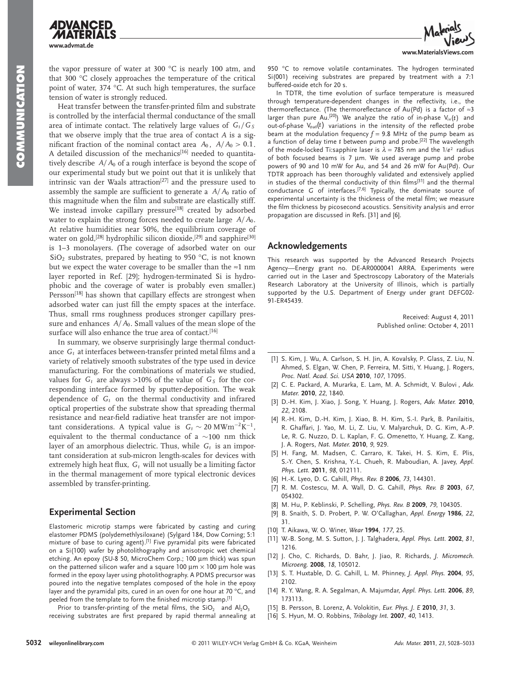**www.advmat.de** the vapor pressure of water at 300  $^{\circ}$ C is nearly 100 atm, and

that 300  $\degree$ C closely approaches the temperature of the critical point of water,  $374$  °C. At such high temperatures, the surface tension of water is strongly reduced.

Heat transfer between the transfer-printed film and substrate is controlled by the interfacial thermal conductance of the small area of intimate contact. The relatively large values of  $G_t/G_s$ that we observe imply that the true area of contact *A* is a significant fraction of the nominal contact area  $A_0$ ,  $A/A_0 > 0.1$ . A detailed discussion of the mechanics<sup>[16]</sup> needed to quantitatively describe  $A/A<sub>0</sub>$  of a rough interface is beyond the scope of our experimental study but we point out that it is unlikely that intrinsic van der Waals attraction<sup>[27]</sup> and the pressure used to assembly the sample are sufficient to generate a  $A/A<sub>0</sub>$  ratio of this magnitude when the film and substrate are elastically stiff. We instead invoke capillary pressure<sup>[18]</sup> created by adsorbed water to explain the strong forces needed to create large  $A/A<sub>0</sub>$ . At relative humidities near 50%, the equilibrium coverage of water on gold,<sup>[28]</sup> hydrophilic silicon dioxide,<sup>[29]</sup> and sapphire<sup>[30]</sup> is 1–3 monolayers. (The coverage of adsorbed water on our  $SiO<sub>2</sub>$  substrates, prepared by heating to 950 °C, is not known but we expect the water coverage to be smaller than the  $\approx 1$  nm layer reported in Ref. [29]; hydrogen-terminated Si is hydrophobic and the coverage of water is probably even smaller.) Persson<sup>[18]</sup> has shown that capillary effects are strongest when adsorbed water can just fill the empty spaces at the interface. Thus, small rms roughness produces stronger capillary pressure and enhances  $A/A_0$ . Small values of the mean slope of the surface will also enhance the true area of contact.<sup>[16]</sup>

 In summary, we observe surprisingly large thermal conductance  $G_t$  at interfaces between-transfer printed metal films and a variety of relatively smooth substrates of the type used in device manufacturing. For the combinations of materials we studied, values for  $G_t$  are always > 10% of the value of  $G_s$  for the corresponding interface formed by sputter-deposition. The weak dependence of  $G_t$  on the thermal conductivity and infrared optical properties of the substrate show that spreading thermal resistance and near-field radiative heat transfer are not important considerations. A typical value is  $G_t \sim 20 \text{ MWm}^{-2}\text{K}^{-1}$ , equivalent to the thermal conductance of a ∼100 nm thick layer of an amorphous dielectric. Thus, while  $G_t$  is an important consideration at sub-micron length-scales for devices with extremely high heat flux,  $G_t$  will not usually be a limiting factor in the thermal management of more typical electronic devices assembled by transfer-printing.

### **Experimental Section**

 Elastomeric microtip stamps were fabricated by casting and curing elastomer PDMS (polydemethlysiloxane) (Sylgard 184, Dow Corning; 5:1 mixture of base to curing agent).<sup>[1]</sup> Five pyramidal pits were fabricated on a Si(100) wafer by photolithography and anisotropic wet chemical etching. An epoxy (SU-8 50, MicroChem Corp.; 100 μm thick) was spun on the patterned silicon wafer and a square 100  $\mu$ m  $\times$  100  $\mu$ m hole was formed in the epoxy layer using photolithography. A PDMS precursor was poured into the negative templates composed of the hole in the epoxy layer and the pyramidal pits, cured in an oven for one hour at 70 °C, and peeled from the template to form the finished microtip stamp.<sup>[1]</sup>

Prior to transfer-printing of the metal films, the  $SiO<sub>2</sub>$  and  $Al<sub>2</sub>O<sub>3</sub>$ receiving substrates are first prepared by rapid thermal annealing at



950 °C to remove volatile contaminates. The hydrogen terminated Si(001) receiving substrates are prepared by treatment with a 7:1 buffered-oxide etch for 20 s.

 In TDTR, the time evolution of surface temperature is measured through temperature-dependent changes in the reflectivity, i.e., the thermoreflectance. (The thermoreflectance of Au(Pd) is a factor of  $\approx 3$ larger than pure Au.<sup>[20]</sup>) We analyze the ratio of in-phase  $V_{in}(t)$  and out-of-phase V<sub>out</sub>(t) variations in the intensity of the reflected probe beam at the modulation frequency  $f = 9.8$  MHz of the pump beam as a function of delay time *t* between pump and probe.<sup>[22]</sup> The wavelength of the mode-locked Ti:sapphire laser is  $\lambda = 785$  nm and the  $1/e^2$  radius of both focused beams is  $7 \mu m$ . We used average pump and probe powers of 90 and 10 mW for Au, and 54 and 26 mW for Au(Pd). Our TDTR approach has been thoroughly validated and extensively applied in studies of the thermal conductivity of thin films<sup>[31]</sup> and the thermal conductance *G* of interfaces. [7,6] Typically, the dominate source of experimental uncertainty is the thickness of the metal film; we measure the film thickness by picosecond acoustics. Sensitivity analysis and error propagation are discussed in Refs. [31] and [6].

### **Acknowledgements**

 This research was supported by the Advanced Research Projects Agency—Energy grant no. DE-AR0000041 ARRA. Experiments were carried out in the Laser and Spectroscopy Laboratory of the Materials Research Laboratory at the University of Illinois, which is partially supported by the U.S. Department of Energy under grant DEFG02- 91-ER45439.

> Received: August 4, 2011 Published online: October 4, 2011

- [1] S. Kim, J. Wu, A. Carlson, S. H. Jin, A. Kovalsky, P. Glass, Z. Liu, N. Ahmed, S. Elgan, W. Chen, P. Ferreira, M. Sitti, Y. Huang, J. Rogers, *Proc. Natl. Acad. Sci. USA* **2010** , *107* , 17095 .
- [2] C. E. Packard, A. Murarka, E. Lam, M. A. Schmidt, V. Bulovi, Adv. *Mater.* **2010** , *22* , 1840 .
- [3] D.-H. Kim, J. Xiao, J. Song, Y. Huang, J. Rogers, Adv. Mater. 2010, *22* , 2108 .
- [4] R.-H. Kim, D.-H. Kim, J. Xiao, B. H. Kim, S.-I. Park, B. Panilaitis, R. Ghaffari, J. Yao, M. Li, Z. Liu, V. Malyarchuk, D. G. Kim, A.-P. Le, R. G. Nuzzo, D. L. Kaplan, F. G. Omenetto, Y. Huang, Z. Kang, J. A. Rogers , *Nat. Mater.* **2010** , *9* , 929 .
- [5] H. Fang, M. Madsen, C. Carraro, K. Takei, H. S. Kim, E. Plis, S.-Y. Chen, S. Krishna, Y.-L. Chueh, R. Maboudian, A. Javey, Appl. *Phys. Lett.* **2011** , *98* , 012111 .
- [6] H.-K. Lyeo, D. G. Cahill, *Phys. Rev. B* 2006, 73, 144301.
- [7] R. M. Costescu, M. A. Wall, D. G. Cahill, *Phys. Rev. B* 2003, 67, 054302.
- [8] M. Hu, P. Keblinski, P. Schelling, Phys. Rev. B 2009, 79, 104305.
- [9] B. Snaith, S. D. Probert, P. W. O'Callaghan, Appl. Energy 1986, 22, 31 .
- [ 10 ] T. Aikawa , W. O. Winer , *Wear* **1994** , *177* , 25 .
- [11] W.-B. Song, M. S. Sutton, J. J. Talghadera, Appl. Phys. Lett. 2002, 81, 1216.
- [12] J. Cho, C. Richards, D. Bahr, J. Jiao, R. Richards, J. Micromech. *Microeng.* **2008** , *18* , 105012 .
- [13] S. T. Huxtable, D. G. Cahill, L. M. Phinney, *J. Appl. Phys.* 2004, 95, 2102.
- [14] R. Y. Wang, R. A. Segalman, A. Majumdar, Appl. Phys. Lett. 2006, 89, 173113 .
- [ 15 ] B. Persson , B. Lorenz , A. Volokitin , *Eur. Phys. J. E* **2010** , *31* , 3 .
- [ 16 ] S. Hyun , M. O. Robbins , *Tribology Int.* **2007** , *40* , 1413 .